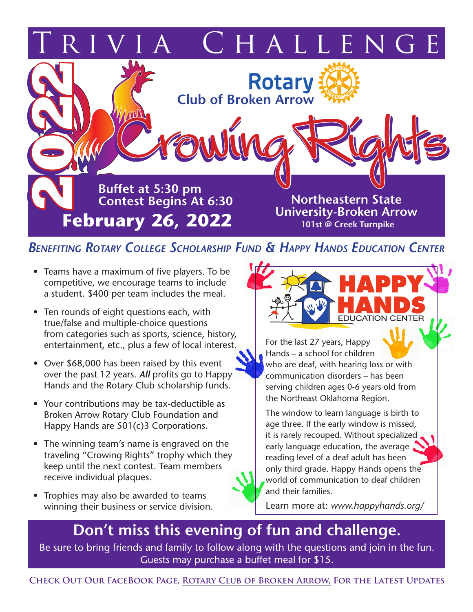

## *Benefiting Rotary College Scholarship Fund & Happy Hands Education Center*

- Teams have a maximum of five players. To be competitive, we encourage teams to include a student. \$400 per team includes the meal.
- Ten rounds of eight questions each, with true/false and multiple-choice questions from categories such as sports, science, history, entertainment, etc., plus a few of local interest.
- *•* Over \$68,000 has been raised by this event over the past 12 years. *All* profits go to Happy Hands and the Rotary Club scholarship funds.
- Your contributions may be tax-deductible as Broken Arrow Rotary Club Foundation and Happy Hands are 501(c)3 Corporations.
- The winning team's name is engraved on the traveling "Crowing Rights" trophy which they keep until the next contest. Team members receive individual plaques.
- Trophies may also be awarded to teams winning their business or service division.



For the last 27 years, Happy Hands – a school for children who are deaf, with hearing loss or with communication disorders – has been serving children ages 0-6 years old from the Northeast Oklahoma Region.

The window to learn language is birth to age three. If the early window is missed, it is rarely recouped. Without specialized early language education, the average reading level of a deaf adult has been only third grade. Happy Hands opens the world of communication to deaf children and their families.

Learn more at: *www.happyhands.org/*

## **Don't miss this evening of fun and challenge.**

Be sure to bring friends and family to follow along with the questions and join in the fun. Guests may purchase a buffet meal for \$15.